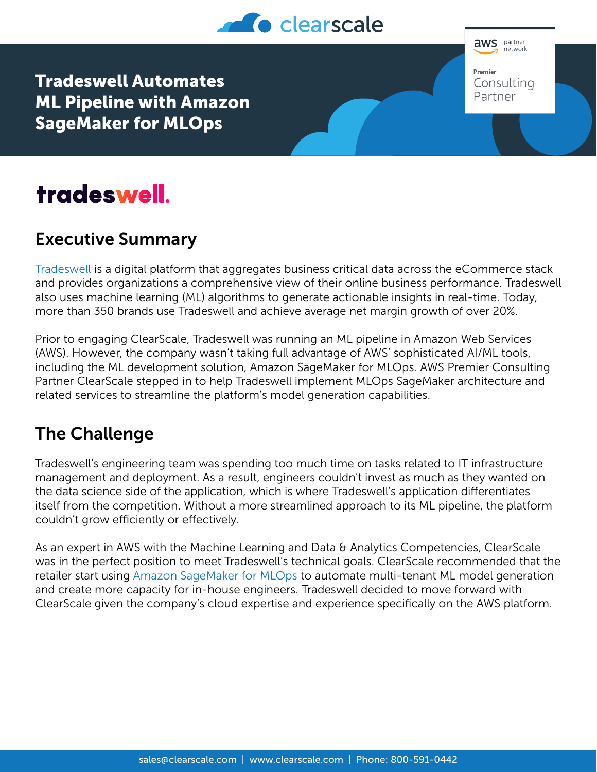

**aws** partner .<br>network Premier Consulting Partner

Tradeswell Automates ML Pipeline with Amazon SageMaker for MLOps

# tradeswell.

## Executive Summary

[Tradeswell](https://www.tradeswell.com/) is a digital platform that aggregates business critical data across the eCommerce stack and provides organizations a comprehensive view of their online business performance. Tradeswell also uses machine learning (ML) algorithms to generate actionable insights in real-time. Today, more than 350 brands use Tradeswell and achieve average net margin growth of over 20%.

Prior to engaging ClearScale, Tradeswell was running an ML pipeline in Amazon Web Services (AWS). However, the company wasn't taking full advantage of AWS' sophisticated AI/ML tools, including the ML development solution, Amazon SageMaker for MLOps. AWS Premier Consulting Partner ClearScale stepped in to help Tradeswell implement MLOps SageMaker architecture and related services to streamline the platform's model generation capabilities.

### The Challenge

Tradeswell's engineering team was spending too much time on tasks related to IT infrastructure management and deployment. As a result, engineers couldn't invest as much as they wanted on the data science side of the application, which is where Tradeswell's application differentiates itself from the competition. Without a more streamlined approach to its ML pipeline, the platform couldn't grow efficiently or effectively.

As an expert in AWS with the Machine Learning and Data & Analytics Competencies, ClearScale was in the perfect position to meet Tradeswell's technical goals. ClearScale recommended that the retailer start using [Amazon SageMaker for MLOps](https://aws.amazon.com/sagemaker/mlops/) to automate multi-tenant ML model generation and create more capacity for in-house engineers. Tradeswell decided to move forward with ClearScale given the company's cloud expertise and experience specifically on the AWS platform.